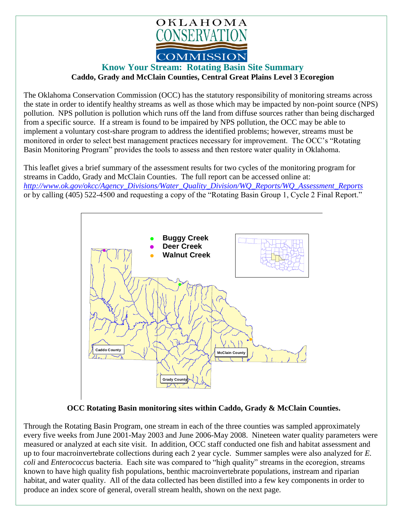

## **Know Your Stream: Rotating Basin Site Summary Caddo, Grady and McClain Counties, Central Great Plains Level 3 Ecoregion**

The Oklahoma Conservation Commission (OCC) has the statutory responsibility of monitoring streams across the state in order to identify healthy streams as well as those which may be impacted by non-point source (NPS) pollution. NPS pollution is pollution which runs off the land from diffuse sources rather than being discharged from a specific source. If a stream is found to be impaired by NPS pollution, the OCC may be able to implement a voluntary cost-share program to address the identified problems; however, streams must be monitored in order to select best management practices necessary for improvement. The OCC's "Rotating Basin Monitoring Program" provides the tools to assess and then restore water quality in Oklahoma.

This leaflet gives a brief summary of the assessment results for two cycles of the monitoring program for streams in Caddo, Grady and McClain Counties. The full report can be accessed online at: *[http://www.ok.gov/okcc/Agency\\_Divisions/Water\\_Quality\\_Division/WQ\\_Reports/WQ\\_Assessment\\_Reports](http://www.ok.gov/okcc/Agency_Divisions/Water_Quality_Division/WQ_Reports/WQ_Assessment_Reports)* or by calling (405) 522-4500 and requesting a copy of the "Rotating Basin Group 1, Cycle 2 Final Report."



## **OCC Rotating Basin monitoring sites within Caddo, Grady & McClain Counties.**

Through the Rotating Basin Program, one stream in each of the three counties was sampled approximately every five weeks from June 2001-May 2003 and June 2006-May 2008. Nineteen water quality parameters were measured or analyzed at each site visit. In addition, OCC staff conducted one fish and habitat assessment and up to four macroinvertebrate collections during each 2 year cycle. Summer samples were also analyzed for *E. coli* and *Enterococcus* bacteria. Each site was compared to "high quality" streams in the ecoregion, streams known to have high quality fish populations, benthic macroinvertebrate populations, instream and riparian habitat, and water quality. All of the data collected has been distilled into a few key components in order to produce an index score of general, overall stream health, shown on the next page.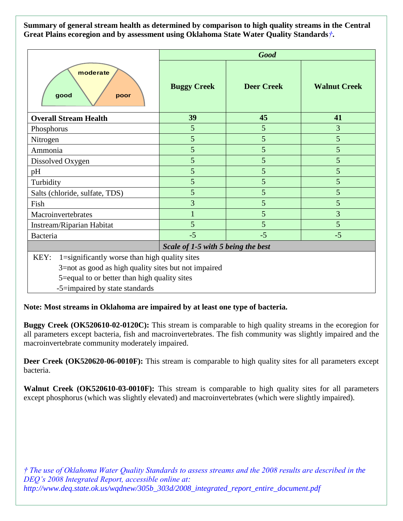**Summary of general stream health as determined by comparison to high quality streams in the Central Great Plains ecoregion and by assessment using Oklahoma State Water Quality Standards***†***.**

|                                                                                                                                                                                                 | <b>Good</b>                        |                   |                     |
|-------------------------------------------------------------------------------------------------------------------------------------------------------------------------------------------------|------------------------------------|-------------------|---------------------|
| moderate<br>good<br>poor                                                                                                                                                                        | <b>Buggy Creek</b>                 | <b>Deer Creek</b> | <b>Walnut Creek</b> |
| <b>Overall Stream Health</b>                                                                                                                                                                    | 39                                 | 45                | 41                  |
| Phosphorus                                                                                                                                                                                      | 5                                  | 5                 | 3                   |
| Nitrogen                                                                                                                                                                                        | 5                                  | 5                 | 5                   |
| Ammonia                                                                                                                                                                                         | 5                                  | 5                 | 5                   |
| Dissolved Oxygen                                                                                                                                                                                | 5                                  | 5                 | 5                   |
| pH                                                                                                                                                                                              | 5                                  | 5                 | 5                   |
| Turbidity                                                                                                                                                                                       | 5                                  | 5                 | 5                   |
| Salts (chloride, sulfate, TDS)                                                                                                                                                                  | 5                                  | 5                 | 5                   |
| Fish                                                                                                                                                                                            | 3                                  | 5                 | 5                   |
| Macroinvertebrates                                                                                                                                                                              |                                    | 5                 | 3                   |
| Instream/Riparian Habitat                                                                                                                                                                       | 5                                  | 5                 | 5                   |
| Bacteria                                                                                                                                                                                        | $-5$                               | $-5$              | $-5$                |
|                                                                                                                                                                                                 | Scale of 1-5 with 5 being the best |                   |                     |
| 1=significantly worse than high quality sites<br>KEY:<br>3=not as good as high quality sites but not impaired<br>5=equal to or better than high quality sites<br>-5=impaired by state standards |                                    |                   |                     |

**Note: Most streams in Oklahoma are impaired by at least one type of bacteria.**

**Buggy Creek (OK520610-02-0120C):** This stream is comparable to high quality streams in the ecoregion for all parameters except bacteria, fish and macroinvertebrates. The fish community was slightly impaired and the macroinvertebrate community moderately impaired.

**Deer Creek (OK520620-06-0010F):** This stream is comparable to high quality sites for all parameters except bacteria.

**Walnut Creek (OK520610-03-0010F):** This stream is comparable to high quality sites for all parameters except phosphorus (which was slightly elevated) and macroinvertebrates (which were slightly impaired).

*† The use of Oklahoma Water Quality Standards to assess streams and the 2008 results are described in the DEQ's 2008 Integrated Report, accessible online at: http://www.deq.state.ok.us/wqdnew/305b\_303d/2008\_integrated\_report\_entire\_document.pdf*